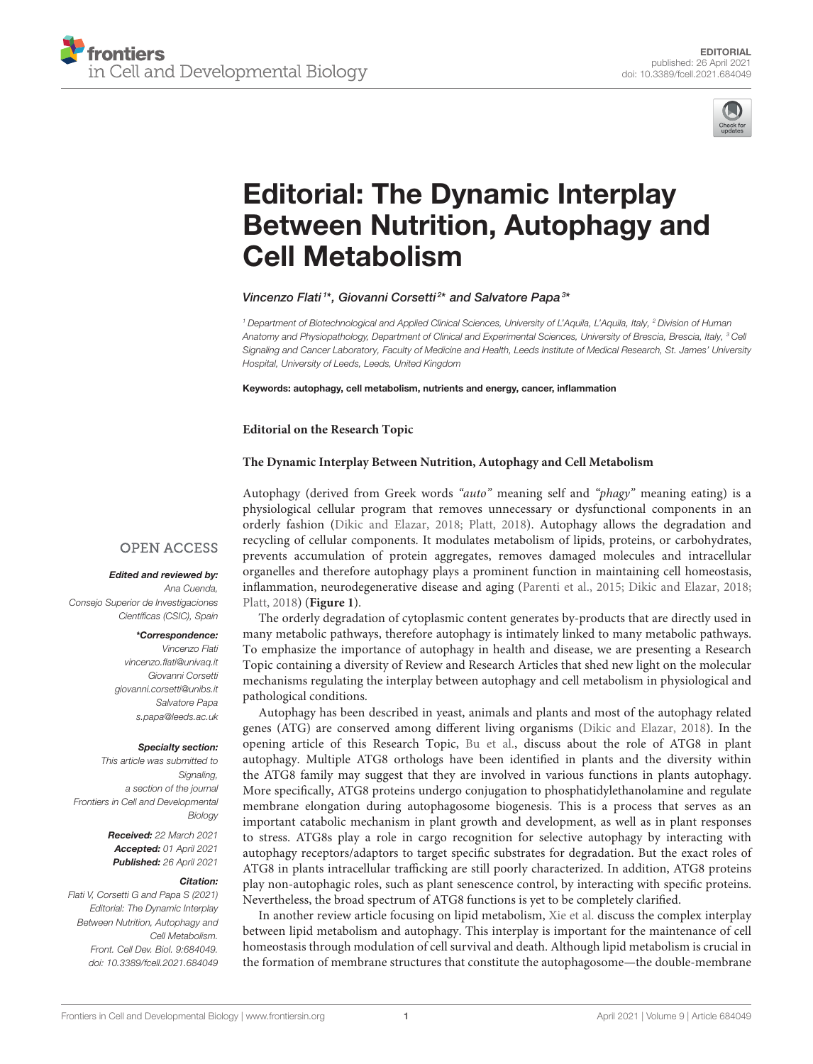



# Editorial: The Dynamic Interplay [Between Nutrition, Autophagy and](https://www.frontiersin.org/articles/10.3389/fcell.2021.684049/full) Cell Metabolism

## Vincenzo Flati<sup>1\*</sup>, Giovanni Corsetti<sup>2\*</sup> and Salvatore Papa<sup>3\*</sup>

<sup>1</sup> Department of Biotechnological and Applied Clinical Sciences, University of L'Aquila, L'Aquila, Italy, <sup>2</sup> Division of Human Anatomy and Physiopathology, Department of Clinical and Experimental Sciences, University of Brescia, Brescia, Italy, <sup>3</sup> Cell Signaling and Cancer Laboratory, Faculty of Medicine and Health, Leeds Institute of Medical Research, St. James' University Hospital, University of Leeds, Leeds, United Kingdom

Keywords: autophagy, cell metabolism, nutrients and energy, cancer, inflammation

#### **Editorial on the Research Topic**

### **[The Dynamic Interplay Between Nutrition, Autophagy and Cell Metabolism](https://www.frontiersin.org/research-topics/11379/the-dynamic-interplay-between-nutrition-autophagy-and-cell-metabolism)**

Autophagy (derived from Greek words "auto" meaning self and "phagy" meaning eating) is a physiological cellular program that removes unnecessary or dysfunctional components in an orderly fashion [\(Dikic and Elazar, 2018;](#page-2-0) [Platt, 2018\)](#page-2-1). Autophagy allows the degradation and recycling of cellular components. It modulates metabolism of lipids, proteins, or carbohydrates, prevents accumulation of protein aggregates, removes damaged molecules and intracellular organelles and therefore autophagy plays a prominent function in maintaining cell homeostasis, inflammation, neurodegenerative disease and aging [\(Parenti et al., 2015;](#page-2-2) [Dikic and Elazar, 2018;](#page-2-0) [Platt, 2018\)](#page-2-1) (**[Figure 1](#page-1-0)**).

The orderly degradation of cytoplasmic content generates by-products that are directly used in many metabolic pathways, therefore autophagy is intimately linked to many metabolic pathways. To emphasize the importance of autophagy in health and disease, we are presenting a Research Topic containing a diversity of Review and Research Articles that shed new light on the molecular mechanisms regulating the interplay between autophagy and cell metabolism in physiological and pathological conditions.

Autophagy has been described in yeast, animals and plants and most of the autophagy related genes (ATG) are conserved among different living organisms [\(Dikic and Elazar, 2018\)](#page-2-0). In the opening article of this Research Topic, [Bu et al.,](https://doi.org/10.3389/fcell.2020.00466) discuss about the role of ATG8 in plant autophagy. Multiple ATG8 orthologs have been identified in plants and the diversity within the ATG8 family may suggest that they are involved in various functions in plants autophagy. More specifically, ATG8 proteins undergo conjugation to phosphatidylethanolamine and regulate membrane elongation during autophagosome biogenesis. This is a process that serves as an important catabolic mechanism in plant growth and development, as well as in plant responses to stress. ATG8s play a role in cargo recognition for selective autophagy by interacting with autophagy receptors/adaptors to target specific substrates for degradation. But the exact roles of ATG8 in plants intracellular trafficking are still poorly characterized. In addition, ATG8 proteins play non-autophagic roles, such as plant senescence control, by interacting with specific proteins. Nevertheless, the broad spectrum of ATG8 functions is yet to be completely clarified.

In another review article focusing on lipid metabolism, [Xie et al.](https://doi.org/10.3389/fcell.2020.00431) discuss the complex interplay between lipid metabolism and autophagy. This interplay is important for the maintenance of cell homeostasis through modulation of cell survival and death. Although lipid metabolism is crucial in the formation of membrane structures that constitute the autophagosome—the double-membrane

## **OPEN ACCESS**

#### Edited and reviewed by:

Ana Cuenda, Consejo Superior de Investigaciones Científicas (CSIC), Spain

#### \*Correspondence:

Vincenzo Flati [vincenzo.flati@univaq.it](mailto:vincenzo.flati@univaq.it) Giovanni Corsetti [giovanni.corsetti@unibs.it](mailto:giovanni.corsetti@unibs.it) Salvatore Papa [s.papa@leeds.ac.uk](mailto:s.papa@leeds.ac.uk)

#### Specialty section:

This article was submitted to Signaling, a section of the journal Frontiers in Cell and Developmental **Biology** 

> Received: 22 March 2021 Accepted: 01 April 2021 Published: 26 April 2021

#### Citation:

Flati V, Corsetti G and Papa S (2021) Editorial: The Dynamic Interplay Between Nutrition, Autophagy and Cell Metabolism. Front. Cell Dev. Biol. 9:684049. doi: [10.3389/fcell.2021.684049](https://doi.org/10.3389/fcell.2021.684049)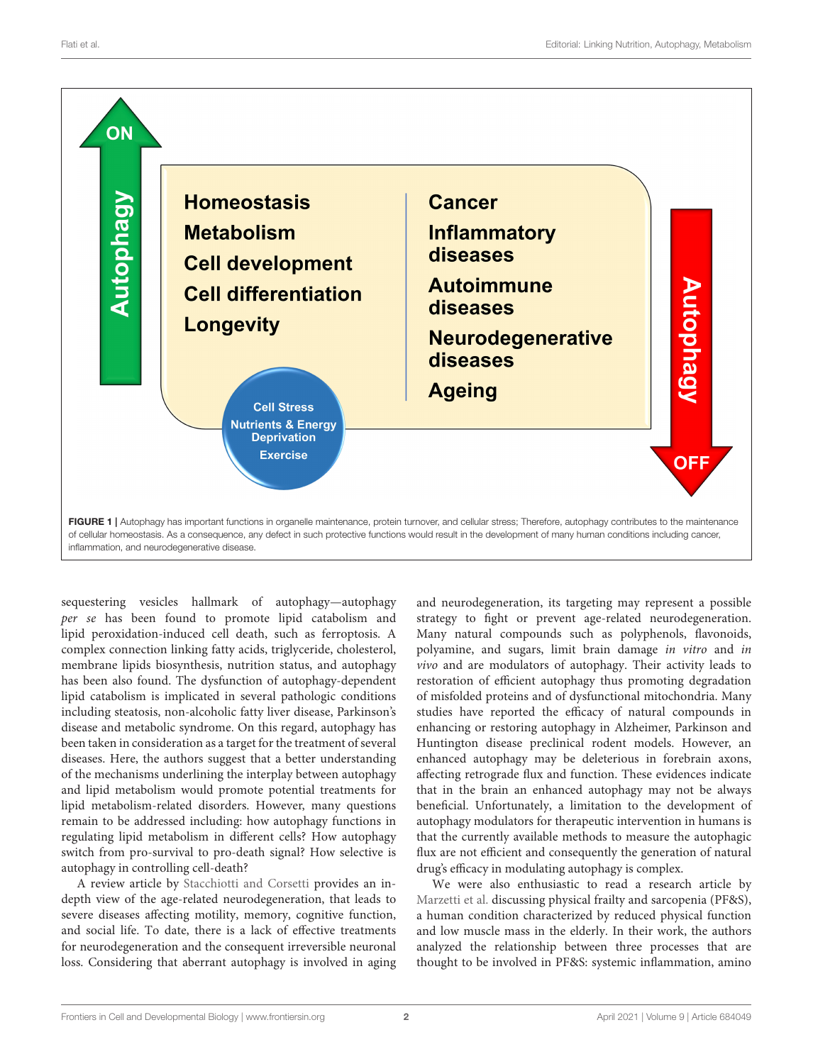

<span id="page-1-0"></span>sequestering vesicles hallmark of autophagy—autophagy per se has been found to promote lipid catabolism and lipid peroxidation-induced cell death, such as ferroptosis. A complex connection linking fatty acids, triglyceride, cholesterol, membrane lipids biosynthesis, nutrition status, and autophagy has been also found. The dysfunction of autophagy-dependent lipid catabolism is implicated in several pathologic conditions including steatosis, non-alcoholic fatty liver disease, Parkinson's disease and metabolic syndrome. On this regard, autophagy has been taken in consideration as a target for the treatment of several diseases. Here, the authors suggest that a better understanding of the mechanisms underlining the interplay between autophagy and lipid metabolism would promote potential treatments for lipid metabolism-related disorders. However, many questions remain to be addressed including: how autophagy functions in regulating lipid metabolism in different cells? How autophagy switch from pro-survival to pro-death signal? How selective is autophagy in controlling cell-death?

A review article by [Stacchiotti and Corsetti](https://doi.org/10.3389/fcell.2020.555409) provides an indepth view of the age-related neurodegeneration, that leads to severe diseases affecting motility, memory, cognitive function, and social life. To date, there is a lack of effective treatments for neurodegeneration and the consequent irreversible neuronal loss. Considering that aberrant autophagy is involved in aging and neurodegeneration, its targeting may represent a possible strategy to fight or prevent age-related neurodegeneration. Many natural compounds such as polyphenols, flavonoids, polyamine, and sugars, limit brain damage in vitro and in vivo and are modulators of autophagy. Their activity leads to restoration of efficient autophagy thus promoting degradation of misfolded proteins and of dysfunctional mitochondria. Many studies have reported the efficacy of natural compounds in enhancing or restoring autophagy in Alzheimer, Parkinson and Huntington disease preclinical rodent models. However, an enhanced autophagy may be deleterious in forebrain axons, affecting retrograde flux and function. These evidences indicate that in the brain an enhanced autophagy may not be always beneficial. Unfortunately, a limitation to the development of autophagy modulators for therapeutic intervention in humans is that the currently available methods to measure the autophagic flux are not efficient and consequently the generation of natural drug's efficacy in modulating autophagy is complex.

We were also enthusiastic to read a research article by [Marzetti et al.](https://doi.org/10.3389/fcell.2020.564417) discussing physical frailty and sarcopenia (PF&S), a human condition characterized by reduced physical function and low muscle mass in the elderly. In their work, the authors analyzed the relationship between three processes that are thought to be involved in PF&S: systemic inflammation, amino